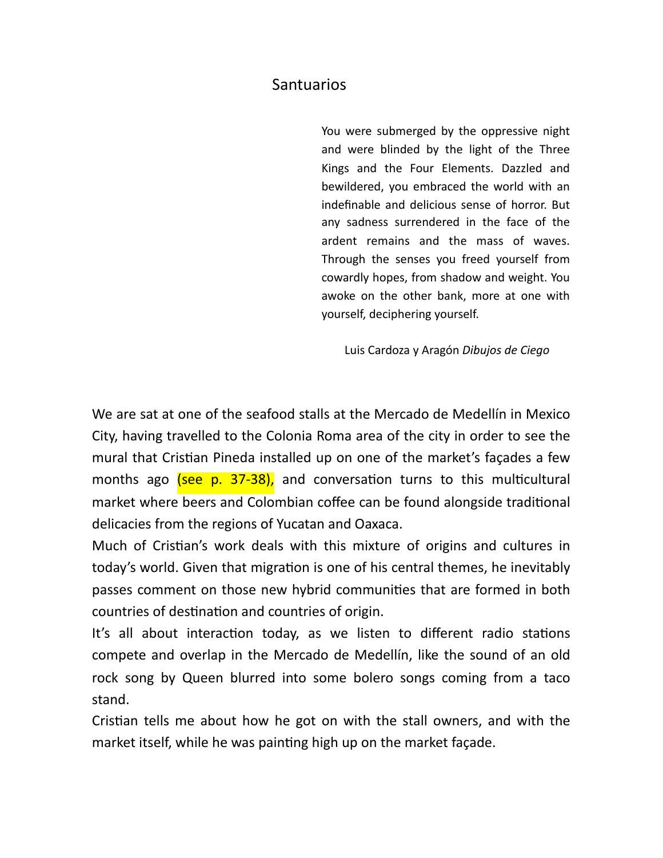## Santuarios

You were submerged by the oppressive night and were blinded by the light of the Three Kings and the Four Elements. Dazzled and bewildered, you embraced the world with an indefinable and delicious sense of horror. But any sadness surrendered in the face of the ardent remains and the mass of waves. Through the senses you freed yourself from cowardly hopes, from shadow and weight. You awoke on the other bank, more at one with yourself, deciphering yourself.

Luis Cardoza y Aragón *Dibujos de Ciego*

We are sat at one of the seafood stalls at the Mercado de Medellín in Mexico City, having travelled to the Colonia Roma area of the city in order to see the mural that Cristian Pineda installed up on one of the market's façades a few months ago (see p. 37-38), and conversation turns to this multicultural market where beers and Colombian coffee can be found alongside traditional delicacies from the regions of Yucatan and Oaxaca.

Much of Cristian's work deals with this mixture of origins and cultures in today's world. Given that migration is one of his central themes, he inevitably passes comment on those new hybrid communities that are formed in both countries of destination and countries of origin.

It's all about interaction today, as we listen to different radio stations compete and overlap in the Mercado de Medellín, like the sound of an old rock song by Queen blurred into some bolero songs coming from a taco stand.

Cristian tells me about how he got on with the stall owners, and with the market itself, while he was painting high up on the market façade.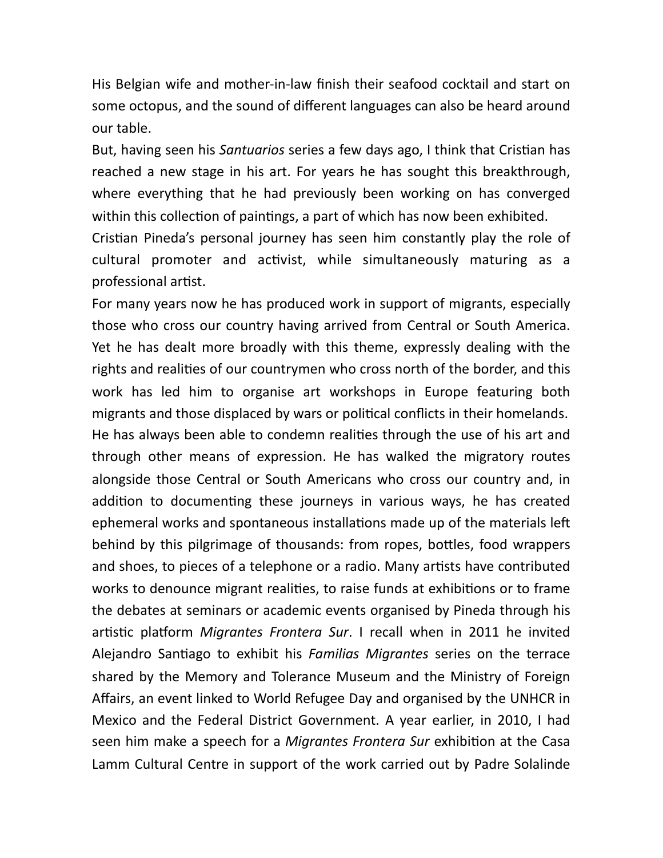His Belgian wife and mother-in-law finish their seafood cocktail and start on some octopus, and the sound of different languages can also be heard around our table.

But, having seen his *Santuarios* series a few days ago, I think that Cristian has reached a new stage in his art. For years he has sought this breakthrough, where everything that he had previously been working on has converged within this collection of paintings, a part of which has now been exhibited.

Cristian Pineda's personal journey has seen him constantly play the role of cultural promoter and activist, while simultaneously maturing as a professional artist.

For many years now he has produced work in support of migrants, especially those who cross our country having arrived from Central or South America. Yet he has dealt more broadly with this theme, expressly dealing with the rights and realities of our countrymen who cross north of the border, and this work has led him to organise art workshops in Europe featuring both migrants and those displaced by wars or political conflicts in their homelands. He has always been able to condemn realities through the use of his art and through other means of expression. He has walked the migratory routes alongside those Central or South Americans who cross our country and, in addition to documenting these journeys in various ways, he has created ephemeral works and spontaneous installations made up of the materials left behind by this pilgrimage of thousands: from ropes, bottles, food wrappers and shoes, to pieces of a telephone or a radio. Many artists have contributed works to denounce migrant realities, to raise funds at exhibitions or to frame the debates at seminars or academic events organised by Pineda through his artistic platform *Migrantes Frontera Sur*. I recall when in 2011 he invited Alejandro Santiago to exhibit his *Familias Migrantes* series on the terrace shared by the Memory and Tolerance Museum and the Ministry of Foreign Affairs, an event linked to World Refugee Day and organised by the UNHCR in Mexico and the Federal District Government. A year earlier, in 2010, I had seen him make a speech for a *Migrantes Frontera Sur* exhibition at the Casa Lamm Cultural Centre in support of the work carried out by Padre Solalinde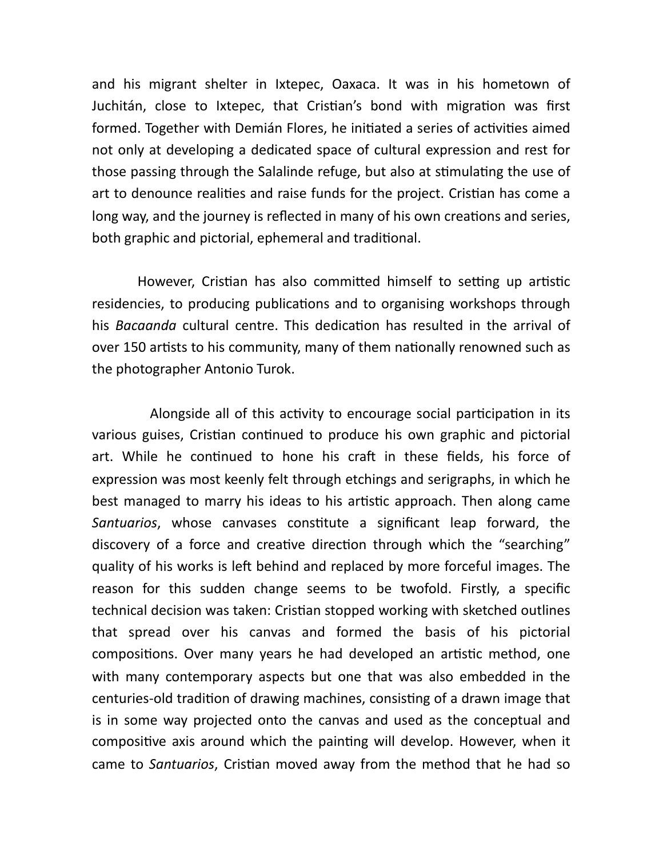and his migrant shelter in Ixtepec, Oaxaca. It was in his hometown of Juchitán, close to Ixtepec, that Cristian's bond with migration was first formed. Together with Demián Flores, he initiated a series of activities aimed not only at developing a dedicated space of cultural expression and rest for those passing through the Salalinde refuge, but also at stimulating the use of art to denounce realities and raise funds for the project. Cristian has come a long way, and the journey is reflected in many of his own creations and series, both graphic and pictorial, ephemeral and traditional.

However, Cristian has also committed himself to setting up artistic residencies, to producing publications and to organising workshops through his *Bacaanda* cultural centre. This dedication has resulted in the arrival of over 150 artists to his community, many of them nationally renowned such as the photographer Antonio Turok.

Alongside all of this activity to encourage social participation in its various guises, Cristian continued to produce his own graphic and pictorial art. While he continued to hone his craft in these fields, his force of expression was most keenly felt through etchings and serigraphs, in which he best managed to marry his ideas to his artistic approach. Then along came *Santuarios*, whose canvases constitute a significant leap forward, the discovery of a force and creative direction through which the "searching" quality of his works is left behind and replaced by more forceful images. The reason for this sudden change seems to be twofold. Firstly, a specific technical decision was taken: Cristian stopped working with sketched outlines that spread over his canvas and formed the basis of his pictorial compositions. Over many years he had developed an artistic method, one with many contemporary aspects but one that was also embedded in the centuries-old tradition of drawing machines, consisting of a drawn image that is in some way projected onto the canvas and used as the conceptual and compositive axis around which the painting will develop. However, when it came to *Santuarios*, Cristian moved away from the method that he had so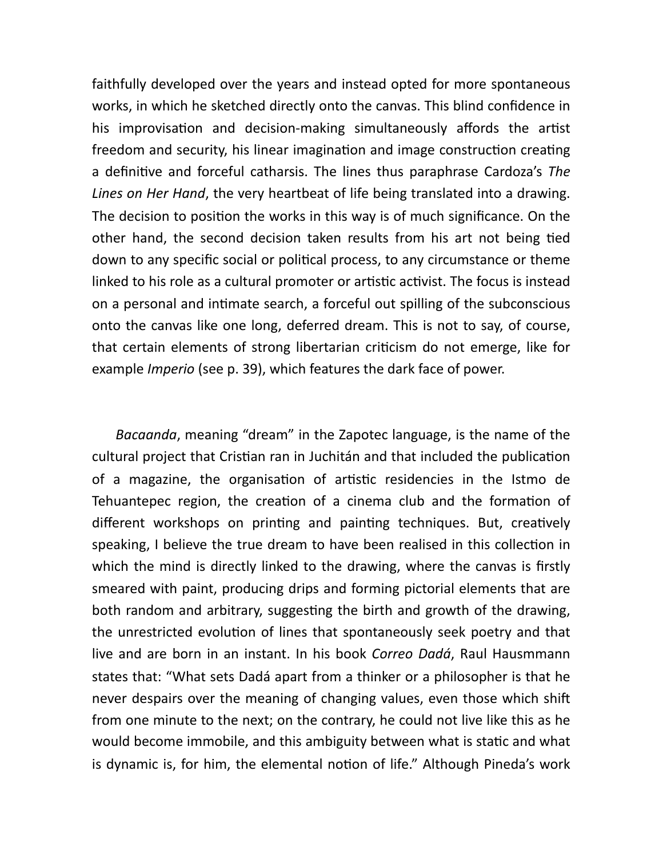faithfully developed over the years and instead opted for more spontaneous works, in which he sketched directly onto the canvas. This blind confidence in his improvisation and decision-making simultaneously affords the artist freedom and security, his linear imagination and image construction creating a definitive and forceful catharsis. The lines thus paraphrase Cardoza's The *Lines on Her Hand*, the very heartbeat of life being translated into a drawing. The decision to position the works in this way is of much significance. On the other hand, the second decision taken results from his art not being tied down to any specific social or political process, to any circumstance or theme linked to his role as a cultural promoter or artistic activist. The focus is instead on a personal and intimate search, a forceful out spilling of the subconscious onto the canvas like one long, deferred dream. This is not to say, of course, that certain elements of strong libertarian criticism do not emerge, like for example *Imperio* (see p. 39), which features the dark face of power.

 *Bacaanda*, meaning "dream" in the Zapotec language, is the name of the cultural project that Cristian ran in Juchitán and that included the publication of a magazine, the organisation of artistic residencies in the Istmo de Tehuantepec region, the creation of a cinema club and the formation of different workshops on printing and painting techniques. But, creatively speaking, I believe the true dream to have been realised in this collection in which the mind is directly linked to the drawing, where the canvas is firstly smeared with paint, producing drips and forming pictorial elements that are both random and arbitrary, suggesting the birth and growth of the drawing, the unrestricted evolution of lines that spontaneously seek poetry and that live and are born in an instant. In his book *Correo Dadá*, Raul Hausmmann states that: "What sets Dadá apart from a thinker or a philosopher is that he never despairs over the meaning of changing values, even those which shift from one minute to the next; on the contrary, he could not live like this as he would become immobile, and this ambiguity between what is static and what is dynamic is, for him, the elemental notion of life." Although Pineda's work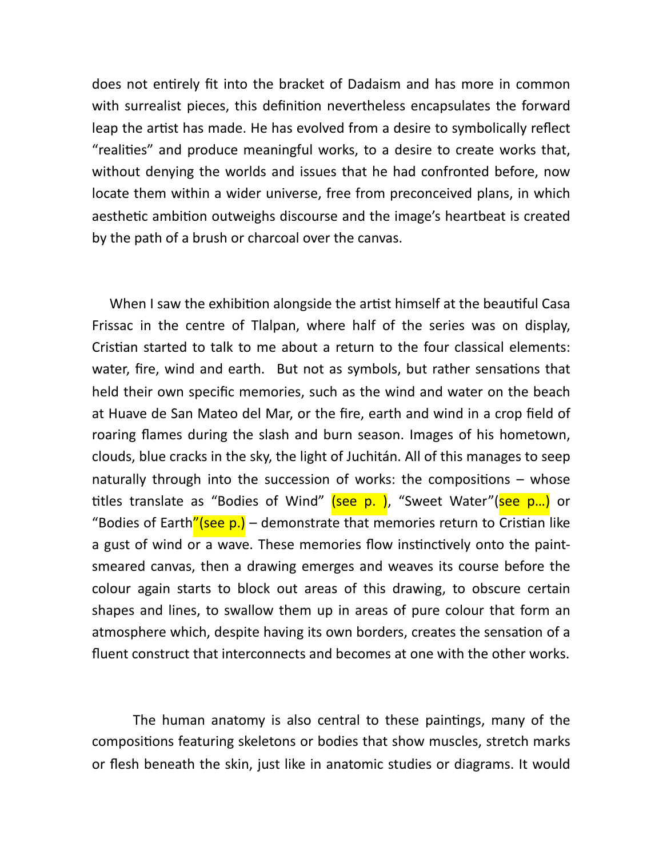does not entirely fit into the bracket of Dadaism and has more in common with surrealist pieces, this definition nevertheless encapsulates the forward leap the artist has made. He has evolved from a desire to symbolically reflect "realities" and produce meaningful works, to a desire to create works that, without denying the worlds and issues that he had confronted before, now locate them within a wider universe, free from preconceived plans, in which aesthetic ambition outweighs discourse and the image's heartbeat is created by the path of a brush or charcoal over the canvas.

When I saw the exhibition alongside the artist himself at the beautiful Casa Frissac in the centre of Tlalpan, where half of the series was on display, Cristian started to talk to me about a return to the four classical elements: water, fire, wind and earth. But not as symbols, but rather sensations that held their own specific memories, such as the wind and water on the beach at Huave de San Mateo del Mar, or the fire, earth and wind in a crop field of roaring flames during the slash and burn season. Images of his hometown, clouds, blue cracks in the sky, the light of Juchitán. All of this manages to seep naturally through into the succession of works: the compositions  $-$  whose titles translate as "Bodies of Wind" (see p. ), "Sweet Water"(see p...) or "Bodies of Earth"(see p.) – demonstrate that memories return to Cristian like a gust of wind or a wave. These memories flow instinctively onto the paintsmeared canvas, then a drawing emerges and weaves its course before the colour again starts to block out areas of this drawing, to obscure certain shapes and lines, to swallow them up in areas of pure colour that form an atmosphere which, despite having its own borders, creates the sensation of a fluent construct that interconnects and becomes at one with the other works.

The human anatomy is also central to these paintings, many of the compositions featuring skeletons or bodies that show muscles, stretch marks or flesh beneath the skin, just like in anatomic studies or diagrams. It would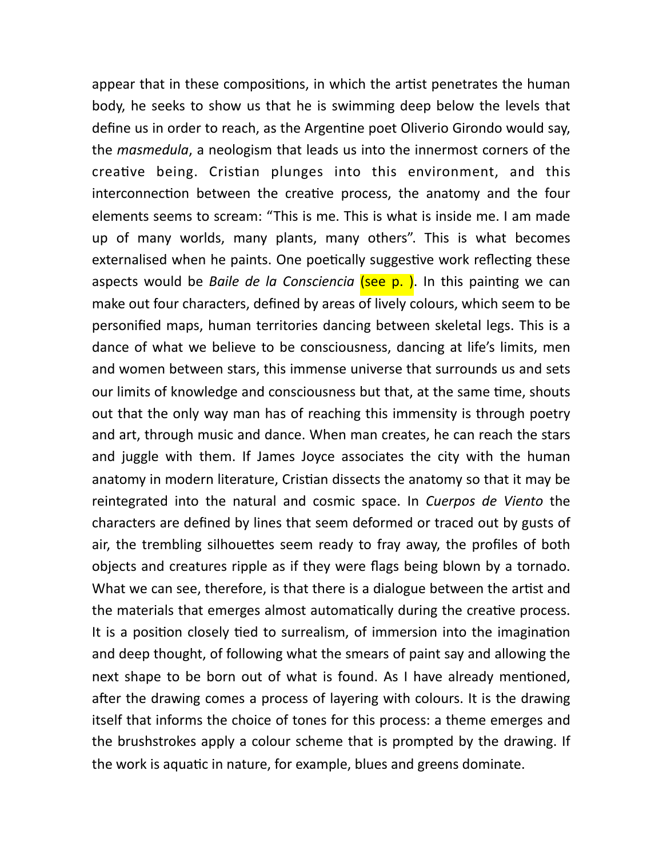appear that in these compositions, in which the artist penetrates the human body, he seeks to show us that he is swimming deep below the levels that define us in order to reach, as the Argentine poet Oliverio Girondo would say, the *masmedula*, a neologism that leads us into the innermost corners of the creative being. Cristian plunges into this environment, and this interconnection between the creative process, the anatomy and the four elements seems to scream: "This is me. This is what is inside me. I am made up of many worlds, many plants, many others". This is what becomes externalised when he paints. One poetically suggestive work reflecting these aspects would be *Baile de la Consciencia* (see p.). In this painting we can make out four characters, defined by areas of lively colours, which seem to be personified maps, human territories dancing between skeletal legs. This is a dance of what we believe to be consciousness, dancing at life's limits, men and women between stars, this immense universe that surrounds us and sets our limits of knowledge and consciousness but that, at the same time, shouts out that the only way man has of reaching this immensity is through poetry and art, through music and dance. When man creates, he can reach the stars and juggle with them. If James Joyce associates the city with the human anatomy in modern literature, Cristian dissects the anatomy so that it may be reintegrated into the natural and cosmic space. In *Cuerpos de Viento* the characters are defined by lines that seem deformed or traced out by gusts of air, the trembling silhouettes seem ready to fray away, the profiles of both objects and creatures ripple as if they were flags being blown by a tornado. What we can see, therefore, is that there is a dialogue between the artist and the materials that emerges almost automatically during the creative process. It is a position closely tied to surrealism, of immersion into the imagination and deep thought, of following what the smears of paint say and allowing the next shape to be born out of what is found. As I have already mentioned, after the drawing comes a process of layering with colours. It is the drawing itself that informs the choice of tones for this process: a theme emerges and the brushstrokes apply a colour scheme that is prompted by the drawing. If the work is aquatic in nature, for example, blues and greens dominate.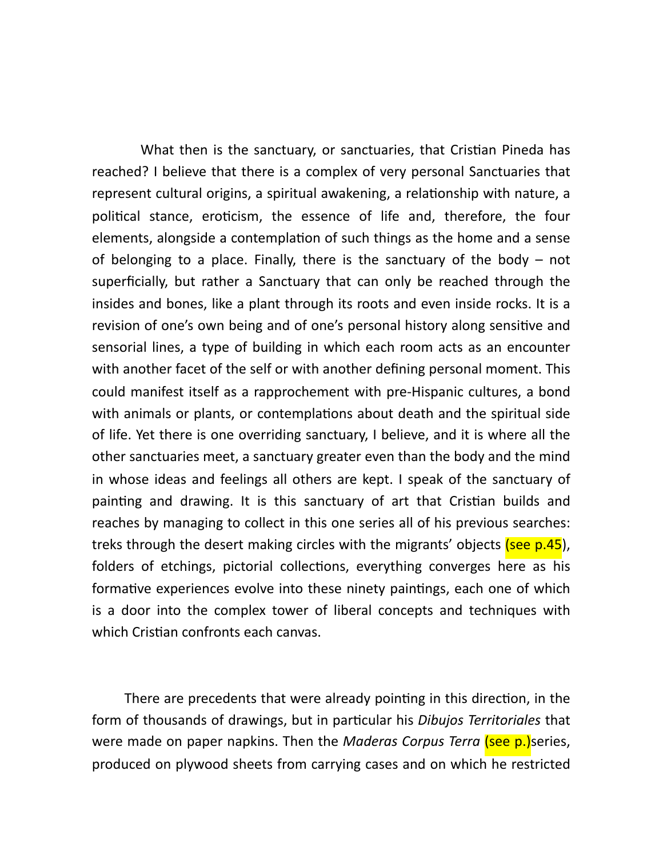What then is the sanctuary, or sanctuaries, that Cristian Pineda has reached? I believe that there is a complex of very personal Sanctuaries that represent cultural origins, a spiritual awakening, a relationship with nature, a political stance, eroticism, the essence of life and, therefore, the four elements, alongside a contemplation of such things as the home and a sense of belonging to a place. Finally, there is the sanctuary of the body  $-$  not superficially, but rather a Sanctuary that can only be reached through the insides and bones, like a plant through its roots and even inside rocks. It is a revision of one's own being and of one's personal history along sensitive and sensorial lines, a type of building in which each room acts as an encounter with another facet of the self or with another defining personal moment. This could manifest itself as a rapprochement with pre-Hispanic cultures, a bond with animals or plants, or contemplations about death and the spiritual side of life. Yet there is one overriding sanctuary, I believe, and it is where all the other sanctuaries meet, a sanctuary greater even than the body and the mind in whose ideas and feelings all others are kept. I speak of the sanctuary of painting and drawing. It is this sanctuary of art that Cristian builds and reaches by managing to collect in this one series all of his previous searches: treks through the desert making circles with the migrants' objects (see p.45), folders of etchings, pictorial collections, everything converges here as his formative experiences evolve into these ninety paintings, each one of which is a door into the complex tower of liberal concepts and techniques with which Cristian confronts each canvas.

There are precedents that were already pointing in this direction, in the form of thousands of drawings, but in particular his *Dibujos Territoriales* that were made on paper napkins. Then the *Maderas Corpus Terra* (see p.) series, produced on plywood sheets from carrying cases and on which he restricted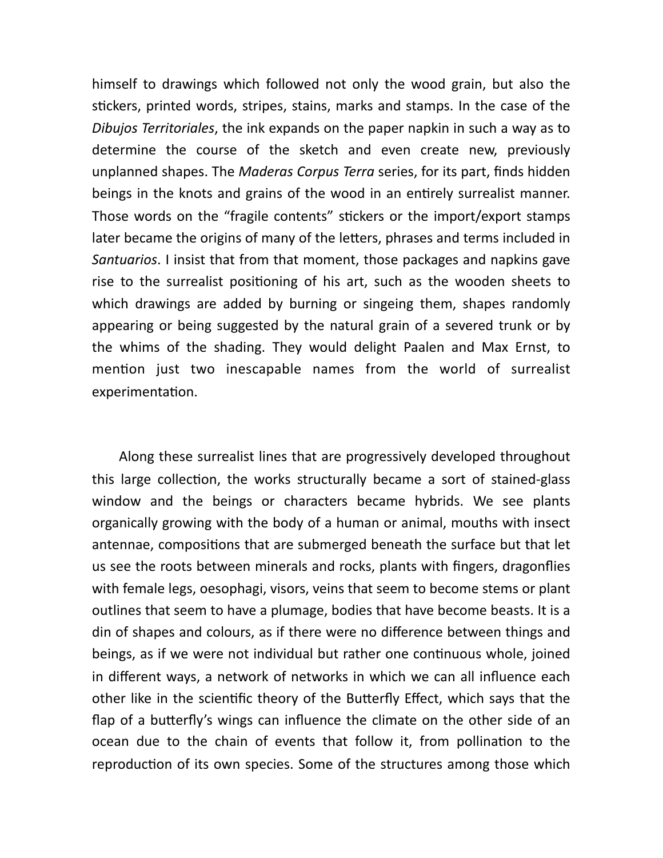himself to drawings which followed not only the wood grain, but also the stickers, printed words, stripes, stains, marks and stamps. In the case of the *Dibujos Territoriales*, the ink expands on the paper napkin in such a way as to determine the course of the sketch and even create new, previously unplanned shapes. The *Maderas Corpus Terra* series, for its part, finds hidden beings in the knots and grains of the wood in an entirely surrealist manner. Those words on the "fragile contents" stickers or the import/export stamps later became the origins of many of the letters, phrases and terms included in *Santuarios*. I insist that from that moment, those packages and napkins gave rise to the surrealist positioning of his art, such as the wooden sheets to which drawings are added by burning or singeing them, shapes randomly appearing or being suggested by the natural grain of a severed trunk or by the whims of the shading. They would delight Paalen and Max Ernst, to mention just two inescapable names from the world of surrealist experimentation.

 Along these surrealist lines that are progressively developed throughout this large collection, the works structurally became a sort of stained-glass window and the beings or characters became hybrids. We see plants organically growing with the body of a human or animal, mouths with insect antennae, compositions that are submerged beneath the surface but that let us see the roots between minerals and rocks, plants with fingers, dragonflies with female legs, oesophagi, visors, veins that seem to become stems or plant outlines that seem to have a plumage, bodies that have become beasts. It is a din of shapes and colours, as if there were no difference between things and beings, as if we were not individual but rather one continuous whole, joined in different ways, a network of networks in which we can all influence each other like in the scientific theory of the Butterfly Effect, which says that the flap of a butterfly's wings can influence the climate on the other side of an ocean due to the chain of events that follow it, from pollination to the reproduction of its own species. Some of the structures among those which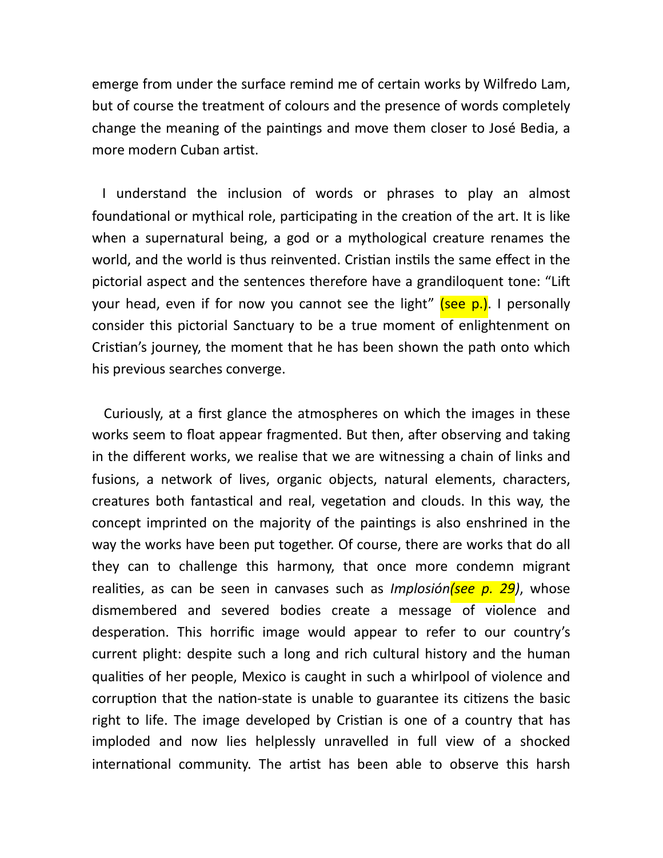emerge from under the surface remind me of certain works by Wilfredo Lam, but of course the treatment of colours and the presence of words completely change the meaning of the paintings and move them closer to José Bedia, a more modern Cuban artist.

 I understand the inclusion of words or phrases to play an almost foundational or mythical role, participating in the creation of the art. It is like when a supernatural being, a god or a mythological creature renames the world, and the world is thus reinvented. Cristian instils the same effect in the pictorial aspect and the sentences therefore have a grandiloquent tone: "Lift your head, even if for now you cannot see the light" (see p.). I personally consider this pictorial Sanctuary to be a true moment of enlightenment on Cristian's journey, the moment that he has been shown the path onto which his previous searches converge.

 Curiously, at a first glance the atmospheres on which the images in these works seem to float appear fragmented. But then, after observing and taking in the different works, we realise that we are witnessing a chain of links and fusions, a network of lives, organic objects, natural elements, characters, creatures both fantastical and real, vegetation and clouds. In this way, the concept imprinted on the majority of the paintings is also enshrined in the way the works have been put together. Of course, there are works that do all they can to challenge this harmony, that once more condemn migrant realities, as can be seen in canvases such as *Implosión(see p. 29)*, whose dismembered and severed bodies create a message of violence and desperation. This horrific image would appear to refer to our country's current plight: despite such a long and rich cultural history and the human qualities of her people, Mexico is caught in such a whirlpool of violence and corruption that the nation-state is unable to guarantee its citizens the basic right to life. The image developed by Cristian is one of a country that has imploded and now lies helplessly unravelled in full view of a shocked international community. The artist has been able to observe this harsh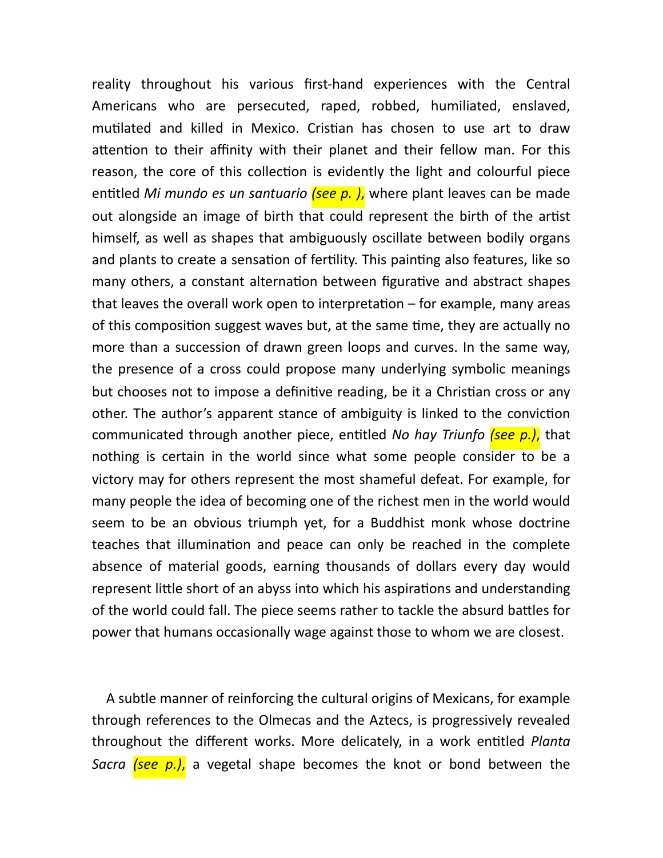reality throughout his various first-hand experiences with the Central Americans who are persecuted, raped, robbed, humiliated, enslaved, mutilated and killed in Mexico. Cristian has chosen to use art to draw attention to their affinity with their planet and their fellow man. For this reason, the core of this collection is evidently the light and colourful piece entitled *Mi mundo es un santuario (see p.)*, where plant leaves can be made out alongside an image of birth that could represent the birth of the artist himself, as well as shapes that ambiguously oscillate between bodily organs and plants to create a sensation of fertility. This painting also features, like so many others, a constant alternation between figurative and abstract shapes that leaves the overall work open to interpretation  $-$  for example, many areas of this composition suggest waves but, at the same time, they are actually no more than a succession of drawn green loops and curves. In the same way, the presence of a cross could propose many underlying symbolic meanings but chooses not to impose a definitive reading, be it a Christian cross or any other. The author's apparent stance of ambiguity is linked to the conviction communicated through another piece, entitled *No hay Triunfo (see p.)*, that nothing is certain in the world since what some people consider to be a victory may for others represent the most shameful defeat. For example, for many people the idea of becoming one of the richest men in the world would seem to be an obvious triumph yet, for a Buddhist monk whose doctrine teaches that illumination and peace can only be reached in the complete absence of material goods, earning thousands of dollars every day would represent little short of an abyss into which his aspirations and understanding of the world could fall. The piece seems rather to tackle the absurd battles for power that humans occasionally wage against those to whom we are closest.

 A subtle manner of reinforcing the cultural origins of Mexicans, for example through references to the Olmecas and the Aztecs, is progressively revealed throughout the different works. More delicately, in a work entitled *Planta Sacra (see p.)*, a vegetal shape becomes the knot or bond between the